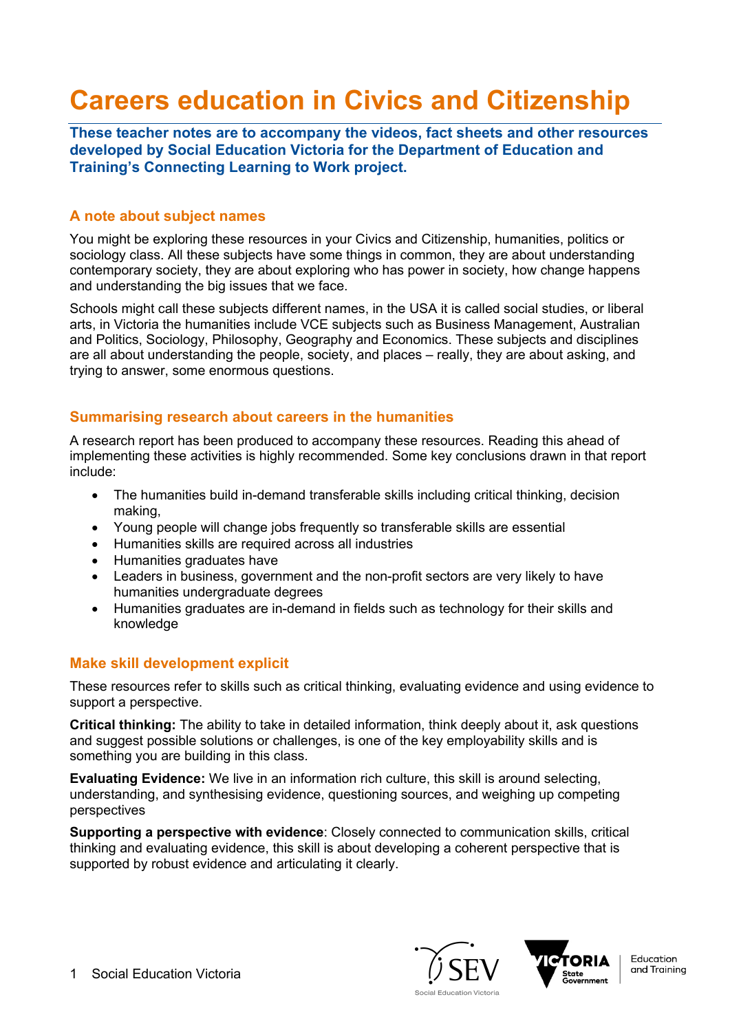# **Careers education in Civics and Citizenship**

**These teacher notes are to accompany the videos, fact sheets and other resources developed by Social Education Victoria for the Department of Education and Training's Connecting Learning to Work project.**

#### **A note about subject names**

You might be exploring these resources in your Civics and Citizenship, humanities, politics or sociology class. All these subjects have some things in common, they are about understanding contemporary society, they are about exploring who has power in society, how change happens and understanding the big issues that we face.

Schools might call these subjects different names, in the USA it is called social studies, or liberal arts, in Victoria the humanities include VCE subjects such as Business Management, Australian and Politics, Sociology, Philosophy, Geography and Economics. These subjects and disciplines are all about understanding the people, society, and places – really, they are about asking, and trying to answer, some enormous questions.

#### **Summarising research about careers in the humanities**

A research report has been produced to accompany these resources. Reading this ahead of implementing these activities is highly recommended. Some key conclusions drawn in that report include:

- The humanities build in-demand transferable skills including critical thinking, decision making,
- Young people will change jobs frequently so transferable skills are essential
- Humanities skills are required across all industries
- Humanities graduates have
- Leaders in business, government and the non-profit sectors are very likely to have humanities undergraduate degrees
- Humanities graduates are in-demand in fields such as technology for their skills and knowledge

### **Make skill development explicit**

These resources refer to skills such as critical thinking, evaluating evidence and using evidence to support a perspective.

**Critical thinking:** The ability to take in detailed information, think deeply about it, ask questions and suggest possible solutions or challenges, is one of the key employability skills and is something you are building in this class.

**Evaluating Evidence:** We live in an information rich culture, this skill is around selecting, understanding, and synthesising evidence, questioning sources, and weighing up competing perspectives

**Supporting a perspective with evidence**: Closely connected to communication skills, critical thinking and evaluating evidence, this skill is about developing a coherent perspective that is supported by robust evidence and articulating it clearly.